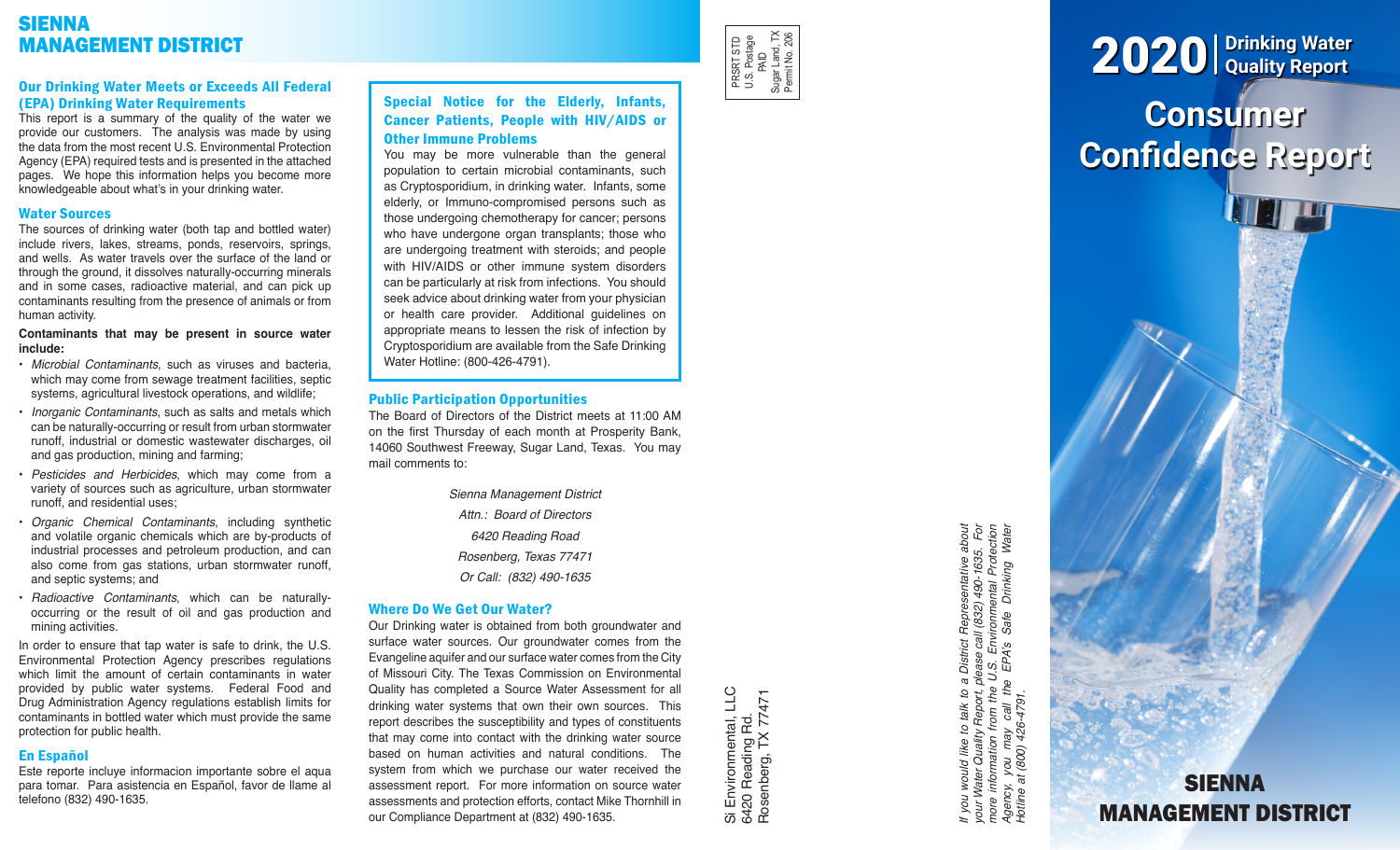# SIENNA MANAGEMENT DISTRICT

## Our Drinking Water Meets or Exceeds All Federal (EPA) Drinking Water Requirements

This report is a summary of the quality of the water we provide our customers. The analysis was made by using the data from the most recent U.S. Environmental Protection Agency (EPA) required tests and is presented in the attached pages. We hope this information helps you become more knowledgeable about what's in your drinking water.

## Water Sources

The sources of drinking water (both tap and bottled water) include rivers, lakes, streams, ponds, reservoirs, springs, and wells. As water travels over the surface of the land or through the ground, it dissolves naturally-occurring minerals and in some cases, radioactive material, and can pick up contaminants resulting from the presence of animals or from human activity.

## **Contaminants that may be present in source water include:**

- *Microbial Contaminants*, such as viruses and bacteria, which may come from sewage treatment facilities, septic systems, agricultural livestock operations, and wildlife;
- *Inorganic Contaminants*, such as salts and metals which can be naturally-occurring or result from urban stormwater runoff, industrial or domestic wastewater discharges, oil and gas production, mining and farming;
- *Pesticides and Herbicides*, which may come from a variety of sources such as agriculture, urban stormwater runoff, and residential uses;
- *Organic Chemical Contaminants*, including synthetic and volatile organic chemicals which are by-products of industrial processes and petroleum production, and can also come from gas stations, urban stormwater runoff, and septic systems; and
- *Radioactive Contaminants*, which can be naturallyoccurring or the result of oil and gas production and mining activities.

In order to ensure that tap water is safe to drink, the U.S. Environmental Protection Agency prescribes regulations which limit the amount of certain contaminants in water provided by public water systems. Federal Food and Drug Administration Agency regulations establish limits for contaminants in bottled water which must provide the same protection for public health.

# En Español

Este reporte incluye informacion importante sobre el aqua para tomar. Para asistencia en Español, favor de llame al telefono (832) 490-1635.

# Special Notice for the Elderly, Infants, Cancer Patients, People with HIV/AIDS or Other Immune Problems

You may be more vulnerable than the general population to certain microbial contaminants, such as Cryptosporidium, in drinking water. Infants, some elderly, or Immuno-compromised persons such as those undergoing chemotherapy for cancer; persons who have undergone organ transplants; those who are undergoing treatment with steroids; and people with HIV/AIDS or other immune system disorders can be particularly at risk from infections. You should seek advice about drinking water from your physician or health care provider. Additional guidelines on appropriate means to lessen the risk of infection by Cryptosporidium are available from the Safe Drinking Water Hotline: (800-426-4791).

## Public Participation Opportunities

The Board of Directors of the District meets at 11:00 AM on the first Thursday of each month at Prosperity Bank, 14060 Southwest Freeway, Sugar Land, Texas. You may mail comments to:

> *Sienna Management District Attn.: Board of Directors 6420 Reading Road Rosenberg, Texas 77471 Or Call: (832) 490-1635*

# Where Do We Get Our Water?

Our Drinking water is obtained from both groundwater and surface water sources. Our groundwater comes from the Evangeline aquifer and our surface water comes from the City of Missouri City. The Texas Commission on Environmental Quality has completed a Source Water Assessment for all drinking water systems that own their own sources. This report describes the susceptibility and types of constituents that may come into contact with the drinking water source based on human activities and natural conditions. The system from which we purchase our water received the assessment report. For more information on source water assessments and protection efforts, contact Mike Thornhill in our Compliance Department at (832) 490-1635.

Si Environmental, LLC<br>6420 Reading Rd.<br>Rosenberg, TX 77471 Si Environmental, LLC Rosenberg, TX 77471 6420 Reading Rd.

PRSRT STD U.S. Postage PRSRT STD<br>U.S. Postage<br>PAID<br>Sugar Land, TX<br>Pemit No. 206 Sugar Land, TX Permit No. 206

> If you would like to talk to a District Representative about<br>your Water Quality Report, please call (832) 490-1635. For<br>more information from the U.S. Environmental Protection<br>Agency, you may call the EPA's Safe Drinking W *If you would like to talk to a District Representative about your Water Quality Report, please call (832) 490-1635. For more information from the U.S. Environmental Protection Agency, you may call the EPA's Safe Drinking Water Hotline at (800) 426-4791.*

# **Consumer Confidence Report** 2020 **Drinking Water Quality Report**

**SIENNA** 

MANAGEMENT DISTRICT